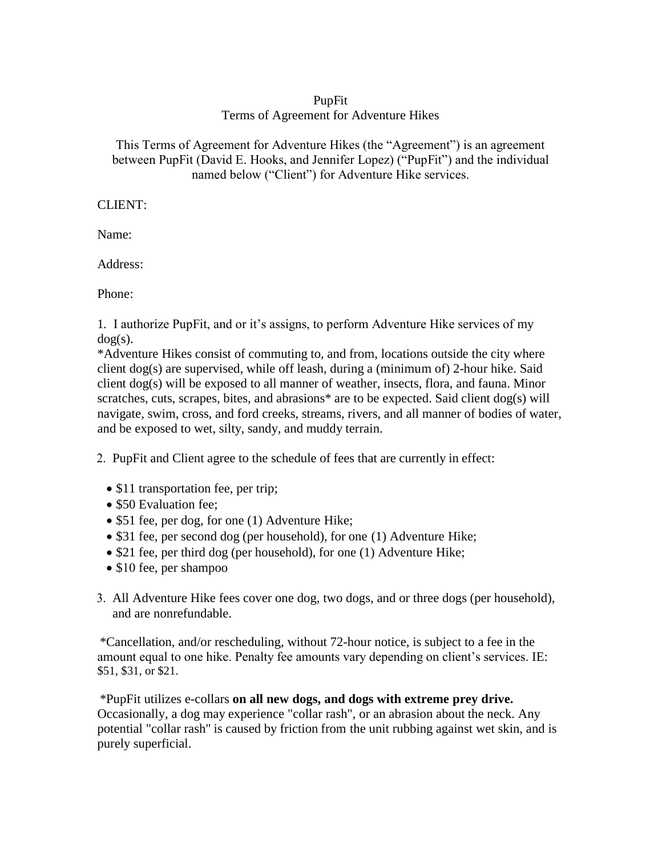### PupFit Terms of Agreement for Adventure Hikes

This Terms of Agreement for Adventure Hikes (the "Agreement") is an agreement between PupFit (David E. Hooks, and Jennifer Lopez) ("PupFit") and the individual named below ("Client") for Adventure Hike services.

## CLIENT:

Name:

Address:

Phone:

1. I authorize PupFit, and or it's assigns, to perform Adventure Hike services of my  $dog(s)$ .

\*Adventure Hikes consist of commuting to, and from, locations outside the city where client dog(s) are supervised, while off leash, during a (minimum of) 2-hour hike. Said client dog(s) will be exposed to all manner of weather, insects, flora, and fauna. Minor scratches, cuts, scrapes, bites, and abrasions<sup>\*</sup> are to be expected. Said client dog(s) will navigate, swim, cross, and ford creeks, streams, rivers, and all manner of bodies of water, and be exposed to wet, silty, sandy, and muddy terrain.

2. PupFit and Client agree to the schedule of fees that are currently in effect:

- \$11 transportation fee, per trip;
- \$50 Evaluation fee:
- \$51 fee, per dog, for one (1) Adventure Hike;
- \$31 fee, per second dog (per household), for one (1) Adventure Hike;
- \$21 fee, per third dog (per household), for one (1) Adventure Hike;
- \$10 fee, per shampoo
- 3. All Adventure Hike fees cover one dog, two dogs, and or three dogs (per household), and are nonrefundable.

\*Cancellation, and/or rescheduling, without 72-hour notice, is subject to a fee in the amount equal to one hike. Penalty fee amounts vary depending on client's services. IE: \$51, \$31, or \$21.

\*PupFit utilizes e-collars **on all new dogs, and dogs with extreme prey drive.** Occasionally, a dog may experience "collar rash", or an abrasion about the neck. Any potential "collar rash" is caused by friction from the unit rubbing against wet skin, and is purely superficial.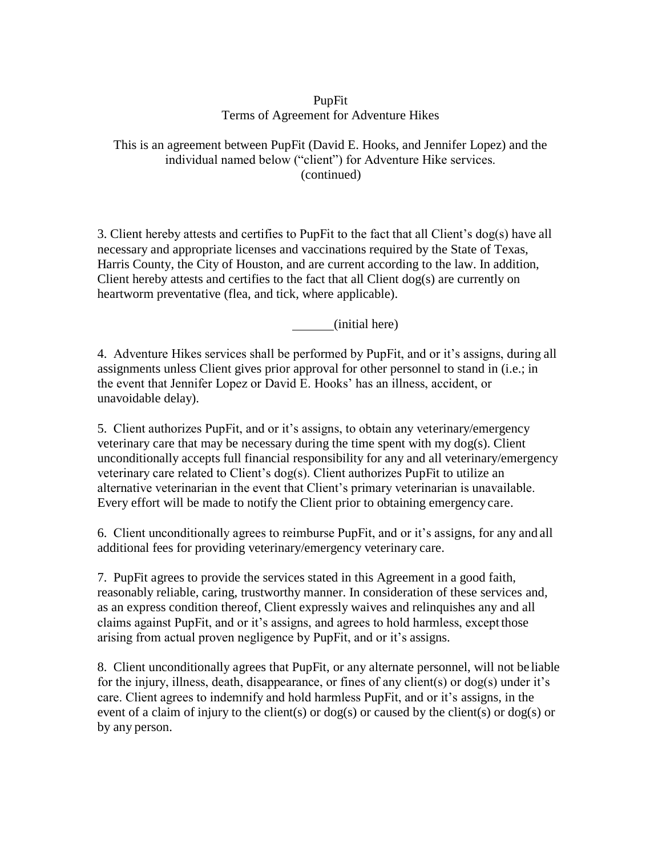### PupFit Terms of Agreement for Adventure Hikes

#### This is an agreement between PupFit (David E. Hooks, and Jennifer Lopez) and the individual named below ("client") for Adventure Hike services. (continued)

3. Client hereby attests and certifies to PupFit to the fact that all Client's dog(s) have all necessary and appropriate licenses and vaccinations required by the State of Texas, Harris County, the City of Houston, and are current according to the law. In addition, Client hereby attests and certifies to the fact that all Client dog(s) are currently on heartworm preventative (flea, and tick, where applicable).

(initial here)

4. Adventure Hikes services shall be performed by PupFit, and or it's assigns, during all assignments unless Client gives prior approval for other personnel to stand in (i.e.; in the event that Jennifer Lopez or David E. Hooks' has an illness, accident, or unavoidable delay).

5. Client authorizes PupFit, and or it's assigns, to obtain any veterinary/emergency veterinary care that may be necessary during the time spent with my dog(s). Client unconditionally accepts full financial responsibility for any and all veterinary/emergency veterinary care related to Client's dog(s). Client authorizes PupFit to utilize an alternative veterinarian in the event that Client's primary veterinarian is unavailable. Every effort will be made to notify the Client prior to obtaining emergency care.

6. Client unconditionally agrees to reimburse PupFit, and or it's assigns, for any and all additional fees for providing veterinary/emergency veterinary care.

7. PupFit agrees to provide the services stated in this Agreement in a good faith, reasonably reliable, caring, trustworthy manner. In consideration of these services and, as an express condition thereof, Client expressly waives and relinquishes any and all claims against PupFit, and or it's assigns, and agrees to hold harmless, except those arising from actual proven negligence by PupFit, and or it's assigns.

8. Client unconditionally agrees that PupFit, or any alternate personnel, will not be liable for the injury, illness, death, disappearance, or fines of any client(s) or dog(s) under it's care. Client agrees to indemnify and hold harmless PupFit, and or it's assigns, in the event of a claim of injury to the client(s) or  $\log(s)$  or caused by the client(s) or  $\log(s)$  or by any person.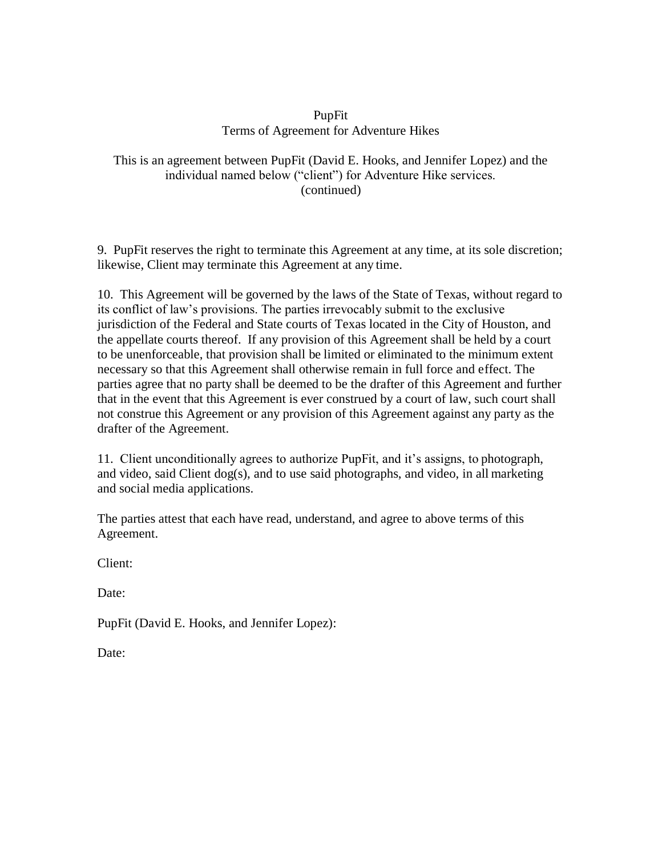#### PupFit Terms of Agreement for Adventure Hikes

### This is an agreement between PupFit (David E. Hooks, and Jennifer Lopez) and the individual named below ("client") for Adventure Hike services. (continued)

9. PupFit reserves the right to terminate this Agreement at any time, at its sole discretion; likewise, Client may terminate this Agreement at any time.

10. This Agreement will be governed by the laws of the State of Texas, without regard to its conflict of law's provisions. The parties irrevocably submit to the exclusive jurisdiction of the Federal and State courts of Texas located in the City of Houston, and the appellate courts thereof. If any provision of this Agreement shall be held by a court to be unenforceable, that provision shall be limited or eliminated to the minimum extent necessary so that this Agreement shall otherwise remain in full force and effect. The parties agree that no party shall be deemed to be the drafter of this Agreement and further that in the event that this Agreement is ever construed by a court of law, such court shall not construe this Agreement or any provision of this Agreement against any party as the drafter of the Agreement.

11. Client unconditionally agrees to authorize PupFit, and it's assigns, to photograph, and video, said Client dog(s), and to use said photographs, and video, in all marketing and social media applications.

The parties attest that each have read, understand, and agree to above terms of this Agreement.

Client:

Date:

PupFit (David E. Hooks, and Jennifer Lopez):

Date: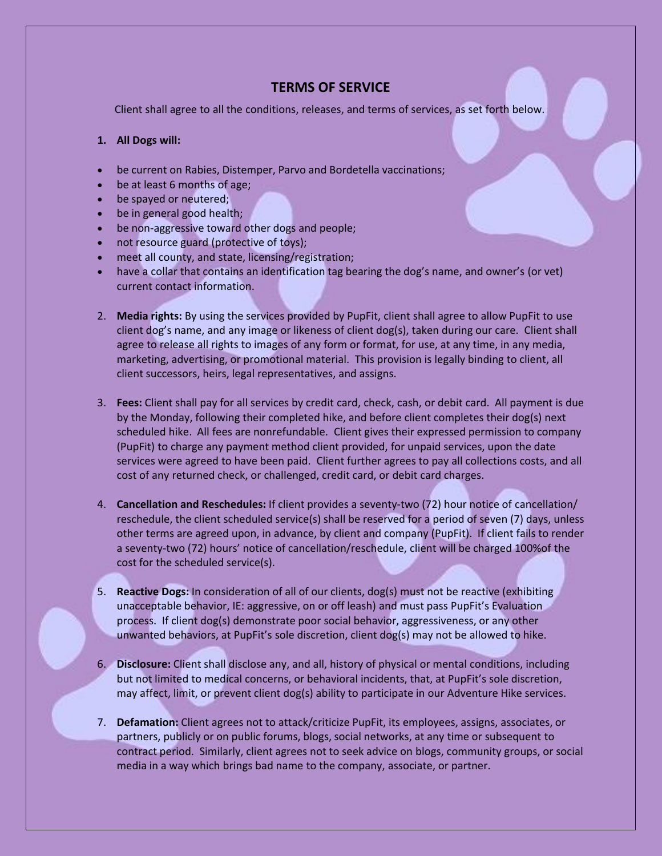## **TERMS OF SERVICE**

Client shall agree to all the conditions, releases, and terms of services, as set forth below.

#### **1. All Dogs will:**

- be current on Rabies, Distemper, Parvo and Bordetella vaccinations;
- be at least 6 months of age;
- be spayed or neutered;
- be in general good health;
- be non-aggressive toward other dogs and people;
- not resource guard (protective of toys);
- meet all county, and state, licensing/registration;
- have a collar that contains an identification tag bearing the dog's name, and owner's (or vet) current contact information.
- 2. **Media rights:** By using the services provided by PupFit, client shall agree to allow PupFit to use client dog's name, and any image or likeness of client dog(s), taken during our care. Client shall agree to release all rights to images of any form or format, for use, at any time, in any media, marketing, advertising, or promotional material. This provision is legally binding to client, all client successors, heirs, legal representatives, and assigns.
- 3. **Fees:** Client shall pay for all services by credit card, check, cash, or debit card. All payment is due by the Monday, following their completed hike, and before client completes their dog(s) next scheduled hike. All fees are nonrefundable. Client gives their expressed permission to company (PupFit) to charge any payment method client provided, for unpaid services, upon the date services were agreed to have been paid. Client further agrees to pay all collections costs, and all cost of any returned check, or challenged, credit card, or debit card charges.
- 4. **Cancellation and Reschedules:** If client provides a seventy-two (72) hour notice of cancellation/ reschedule, the client scheduled service(s) shall be reserved for a period of seven (7) days, unless other terms are agreed upon, in advance, by client and company (PupFit). If client fails to render a seventy-two (72) hours' notice of cancellation/reschedule, client will be charged 100%of the cost for the scheduled service(s).
- 5. **Reactive Dogs:** In consideration of all of our clients, dog(s) must not be reactive (exhibiting unacceptable behavior, IE: aggressive, on or off leash) and must pass PupFit's Evaluation process. If client dog(s) demonstrate poor social behavior, aggressiveness, or any other unwanted behaviors, at PupFit's sole discretion, client dog(s) may not be allowed to hike.
- 6. **Disclosure:** Client shall disclose any, and all, history of physical or mental conditions, including but not limited to medical concerns, or behavioral incidents, that, at PupFit's sole discretion, may affect, limit, or prevent client dog(s) ability to participate in our Adventure Hike services.
- 7. **Defamation:** Client agrees not to attack/criticize PupFit, its employees, assigns, associates, or partners, publicly or on public forums, blogs, social networks, at any time or subsequent to contract period. Similarly, client agrees not to seek advice on blogs, community groups, or social media in a way which brings bad name to the company, associate, or partner.